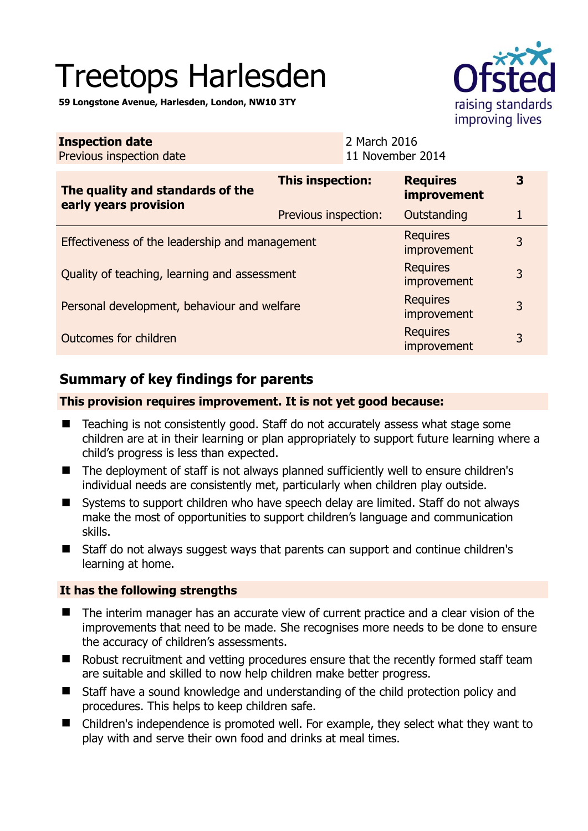# Treetops Harlesden

**59 Longstone Avenue, Harlesden, London, NW10 3TY** 

| raising standards<br>improving lives |
|--------------------------------------|

| <b>Inspection date</b><br>Previous inspection date        | 2 March 2016                   | 11 November 2014               |   |
|-----------------------------------------------------------|--------------------------------|--------------------------------|---|
| The quality and standards of the<br>early years provision | This inspection:               | <b>Requires</b><br>improvement | 3 |
|                                                           | Previous inspection:           | Outstanding                    | 1 |
| Effectiveness of the leadership and management            |                                | <b>Requires</b><br>improvement | 3 |
| Quality of teaching, learning and assessment              | <b>Requires</b><br>improvement | 3                              |   |
| Personal development, behaviour and welfare               |                                | <b>Requires</b><br>improvement | 3 |
| Outcomes for children                                     |                                | <b>Requires</b><br>improvement | 3 |

# **Summary of key findings for parents**

#### **This provision requires improvement. It is not yet good because:**

- Teaching is not consistently good. Staff do not accurately assess what stage some children are at in their learning or plan appropriately to support future learning where a child's progress is less than expected.
- The deployment of staff is not always planned sufficiently well to ensure children's individual needs are consistently met, particularly when children play outside.
- Systems to support children who have speech delay are limited. Staff do not always make the most of opportunities to support children's language and communication skills.
- Staff do not always suggest ways that parents can support and continue children's learning at home.

### **It has the following strengths**

- The interim manager has an accurate view of current practice and a clear vision of the improvements that need to be made. She recognises more needs to be done to ensure the accuracy of children's assessments.
- Robust recruitment and vetting procedures ensure that the recently formed staff team are suitable and skilled to now help children make better progress.
- Staff have a sound knowledge and understanding of the child protection policy and procedures. This helps to keep children safe.
- Children's independence is promoted well. For example, they select what they want to play with and serve their own food and drinks at meal times.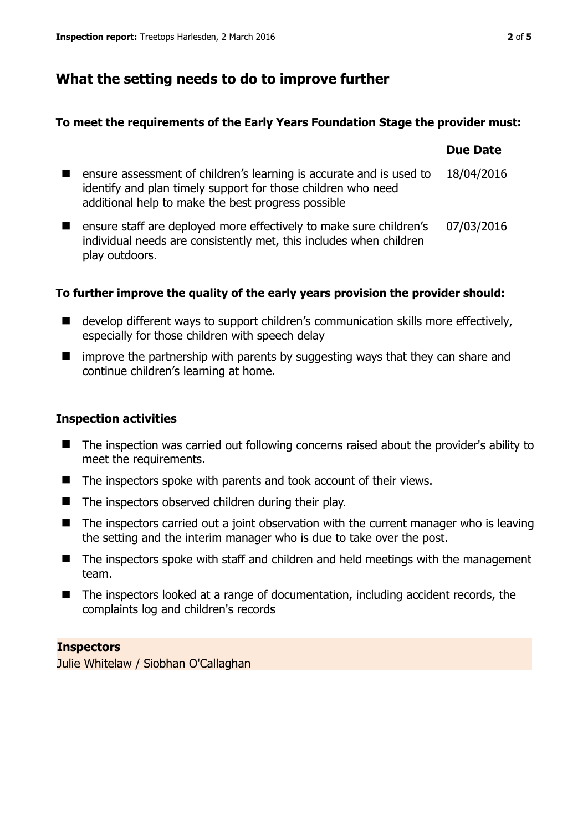# **What the setting needs to do to improve further**

### **To meet the requirements of the Early Years Foundation Stage the provider must:**

|                                                                                                                                                                                           | <b>Due Date</b> |
|-------------------------------------------------------------------------------------------------------------------------------------------------------------------------------------------|-----------------|
| ensure assessment of children's learning is accurate and is used to<br>identify and plan timely support for those children who need<br>additional help to make the best progress possible | 18/04/2016      |
| ensure staff are deployed more effectively to make sure children's<br>individual needs are consistently met, this includes when children<br>play outdoors.                                | 07/03/2016      |

## **To further improve the quality of the early years provision the provider should:**

- develop different ways to support children's communication skills more effectively, especially for those children with speech delay
- $\blacksquare$  improve the partnership with parents by suggesting ways that they can share and continue children's learning at home.

## **Inspection activities**

- The inspection was carried out following concerns raised about the provider's ability to meet the requirements.
- $\blacksquare$  The inspectors spoke with parents and took account of their views.
- $\blacksquare$  The inspectors observed children during their play.
- $\blacksquare$  The inspectors carried out a joint observation with the current manager who is leaving the setting and the interim manager who is due to take over the post.
- The inspectors spoke with staff and children and held meetings with the management team.
- The inspectors looked at a range of documentation, including accident records, the complaints log and children's records

### **Inspectors**

Julie Whitelaw / Siobhan O'Callaghan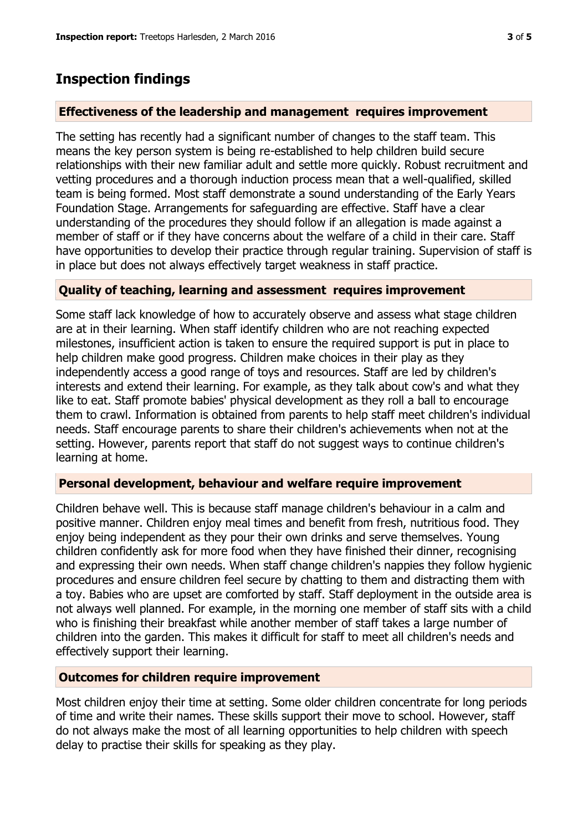## **Inspection findings**

#### **Effectiveness of the leadership and management requires improvement**

The setting has recently had a significant number of changes to the staff team. This means the key person system is being re-established to help children build secure relationships with their new familiar adult and settle more quickly. Robust recruitment and vetting procedures and a thorough induction process mean that a well-qualified, skilled team is being formed. Most staff demonstrate a sound understanding of the Early Years Foundation Stage. Arrangements for safeguarding are effective. Staff have a clear understanding of the procedures they should follow if an allegation is made against a member of staff or if they have concerns about the welfare of a child in their care. Staff have opportunities to develop their practice through regular training. Supervision of staff is in place but does not always effectively target weakness in staff practice.

#### **Quality of teaching, learning and assessment requires improvement**

Some staff lack knowledge of how to accurately observe and assess what stage children are at in their learning. When staff identify children who are not reaching expected milestones, insufficient action is taken to ensure the required support is put in place to help children make good progress. Children make choices in their play as they independently access a good range of toys and resources. Staff are led by children's interests and extend their learning. For example, as they talk about cow's and what they like to eat. Staff promote babies' physical development as they roll a ball to encourage them to crawl. Information is obtained from parents to help staff meet children's individual needs. Staff encourage parents to share their children's achievements when not at the setting. However, parents report that staff do not suggest ways to continue children's learning at home.

#### **Personal development, behaviour and welfare require improvement**

Children behave well. This is because staff manage children's behaviour in a calm and positive manner. Children enjoy meal times and benefit from fresh, nutritious food. They enjoy being independent as they pour their own drinks and serve themselves. Young children confidently ask for more food when they have finished their dinner, recognising and expressing their own needs. When staff change children's nappies they follow hygienic procedures and ensure children feel secure by chatting to them and distracting them with a toy. Babies who are upset are comforted by staff. Staff deployment in the outside area is not always well planned. For example, in the morning one member of staff sits with a child who is finishing their breakfast while another member of staff takes a large number of children into the garden. This makes it difficult for staff to meet all children's needs and effectively support their learning.

#### **Outcomes for children require improvement**

Most children enjoy their time at setting. Some older children concentrate for long periods of time and write their names. These skills support their move to school. However, staff do not always make the most of all learning opportunities to help children with speech delay to practise their skills for speaking as they play.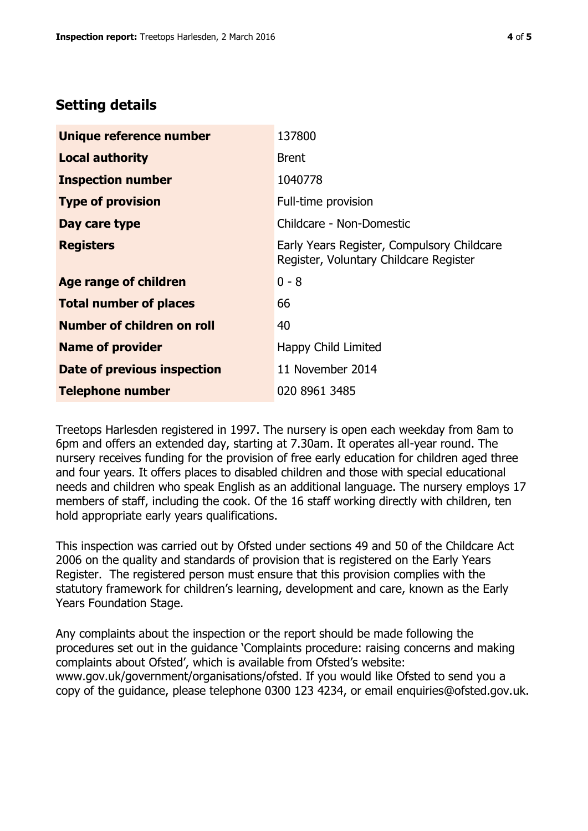## **Setting details**

| Unique reference number       | 137800                                                                               |
|-------------------------------|--------------------------------------------------------------------------------------|
| <b>Local authority</b>        | <b>Brent</b>                                                                         |
| <b>Inspection number</b>      | 1040778                                                                              |
| <b>Type of provision</b>      | Full-time provision                                                                  |
| Day care type                 | Childcare - Non-Domestic                                                             |
| <b>Registers</b>              | Early Years Register, Compulsory Childcare<br>Register, Voluntary Childcare Register |
| <b>Age range of children</b>  | $0 - 8$                                                                              |
| <b>Total number of places</b> | 66                                                                                   |
| Number of children on roll    | 40                                                                                   |
| <b>Name of provider</b>       | Happy Child Limited                                                                  |
| Date of previous inspection   | 11 November 2014                                                                     |
| <b>Telephone number</b>       | 020 8961 3485                                                                        |

Treetops Harlesden registered in 1997. The nursery is open each weekday from 8am to 6pm and offers an extended day, starting at 7.30am. It operates all-year round. The nursery receives funding for the provision of free early education for children aged three and four years. It offers places to disabled children and those with special educational needs and children who speak English as an additional language. The nursery employs 17 members of staff, including the cook. Of the 16 staff working directly with children, ten hold appropriate early years qualifications.

This inspection was carried out by Ofsted under sections 49 and 50 of the Childcare Act 2006 on the quality and standards of provision that is registered on the Early Years Register. The registered person must ensure that this provision complies with the statutory framework for children's learning, development and care, known as the Early Years Foundation Stage.

Any complaints about the inspection or the report should be made following the procedures set out in the guidance 'Complaints procedure: raising concerns and making complaints about Ofsted', which is available from Ofsted's website: www.gov.uk/government/organisations/ofsted. If you would like Ofsted to send you a copy of the guidance, please telephone 0300 123 4234, or email enquiries@ofsted.gov.uk.